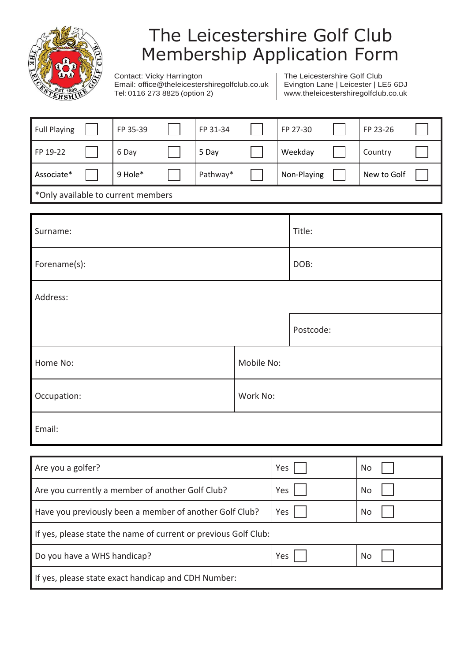

## The Leicestershire Golf Club Membership Application Form

Contact: Vicky Harrington The Leicestershire Golf Club<br>Email: office@theleicestershiregolfclub.co.uk Evington Lane | Leicester | LE5 6DJ Email: [office@theleicestershiregolfclub.co.uk](mailto:office@theleicestershiregolfclub.co.uk)<br>Tel: 0116 273 8825 (option 2)

[www.theleicestershiregolfclub.co.uk](http://www.theleicestershiregolfclub.co.uk/)

| <b>Full Playing</b>                                             | FP 35-39 | FP 31-34 |            |     | FP 27-30    | FP 23-26    |  |
|-----------------------------------------------------------------|----------|----------|------------|-----|-------------|-------------|--|
| FP 19-22                                                        | 6 Day    | 5 Day    |            |     | Weekday     | Country     |  |
| Associate*                                                      | 9 Hole*  | Pathway* |            |     | Non-Playing | New to Golf |  |
| *Only available to current members                              |          |          |            |     |             |             |  |
|                                                                 |          |          |            |     |             |             |  |
| Surname:                                                        |          |          |            |     | Title:      |             |  |
| Forename(s):                                                    |          |          |            |     | DOB:        |             |  |
| Address:                                                        |          |          |            |     |             |             |  |
|                                                                 |          |          |            |     | Postcode:   |             |  |
| Home No:                                                        |          |          | Mobile No: |     |             |             |  |
| Occupation:                                                     |          |          | Work No:   |     |             |             |  |
| Email:                                                          |          |          |            |     |             |             |  |
|                                                                 |          |          |            |     |             |             |  |
| Are you a golfer?                                               |          |          |            |     | Yes         | No          |  |
| Are you currently a member of another Golf Club?                |          |          |            | Yes |             | No          |  |
| Have you previously been a member of another Golf Club?         |          |          |            | Yes |             | No          |  |
| If yes, please state the name of current or previous Golf Club: |          |          |            |     |             |             |  |
| Do you have a WHS handicap?                                     |          |          |            | Yes |             | No          |  |
| If yes, please state exact handicap and CDH Number:             |          |          |            |     |             |             |  |